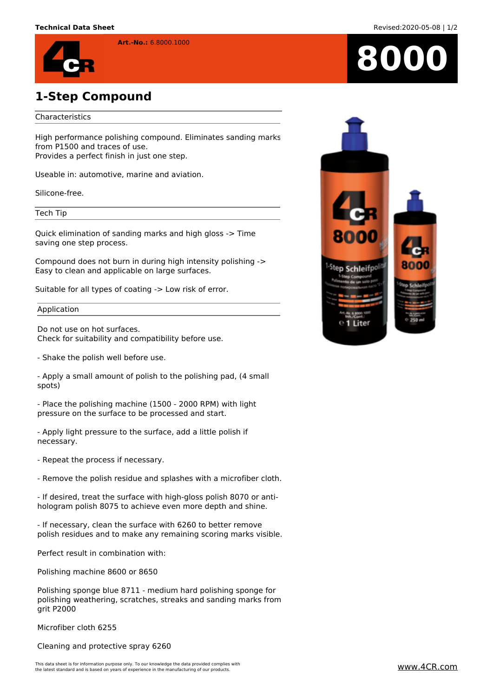

## **1-Step Compound**

## Characteristics

High performance polishing compound. Eliminates sanding marks from P1500 and traces of use. Provides a perfect finish in just one step.

**Art.-No.:** 6.8000.1000

Useable in: automotive, marine and aviation.

Silicone-free.

Tech Tip

Quick elimination of sanding marks and high gloss -> Time saving one step process.

Compound does not burn in during high intensity polishing -> Easy to clean and applicable on large surfaces.

Suitable for all types of coating -> Low risk of error.

Application

Do not use on hot surfaces. Check for suitability and compatibility before use.

- Shake the polish well before use.

- Apply a small amount of polish to the polishing pad, (4 small spots)

- Place the polishing machine (1500 - 2000 RPM) with light pressure on the surface to be processed and start.

- Apply light pressure to the surface, add a little polish if necessary.

- Repeat the process if necessary.

- Remove the polish residue and splashes with a microfiber cloth.

- If desired, treat the surface with high-gloss polish 8070 or antihologram polish 8075 to achieve even more depth and shine.

- If necessary, clean the surface with 6260 to better remove polish residues and to make any remaining scoring marks visible.

Perfect result in combination with:

Polishing machine 8600 or 8650

Polishing sponge blue 8711 - medium hard polishing sponge for polishing weathering, scratches, streaks and sanding marks from grit P2000

Microfiber cloth 6255

Cleaning and protective spray 6260